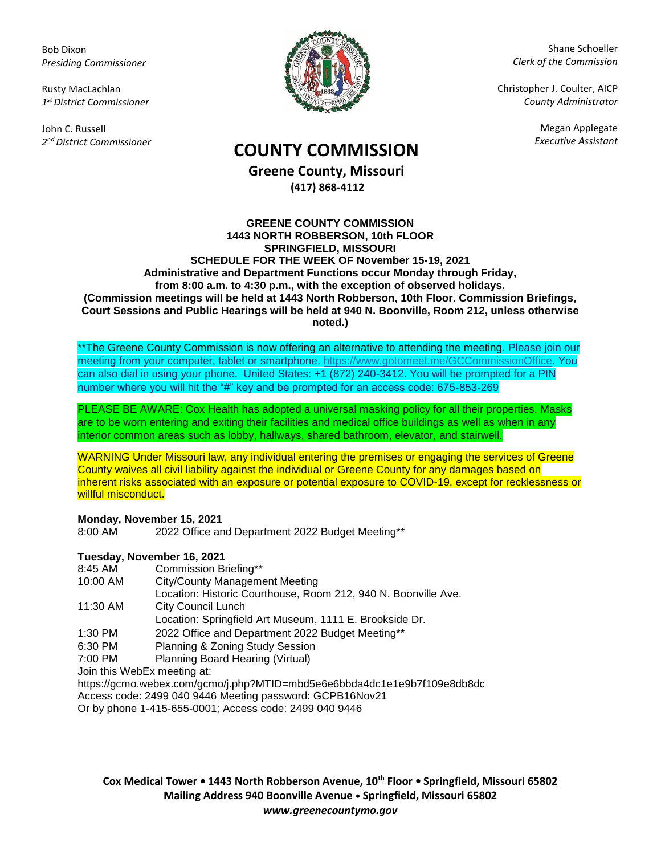Bob Dixon *Presiding Commissioner*

Rusty MacLachlan *1 st District Commissioner*

John C. Russell *2 nd District Commissioner*



Shane Schoeller *Clerk of the Commission*

Christopher J. Coulter, AICP *County Administrator*

Megan Applegate

# *Executive Assistant* **COUNTY COMMISSION**

**Greene County, Missouri (417) 868-4112**

#### **GREENE COUNTY COMMISSION 1443 NORTH ROBBERSON, 10th FLOOR SPRINGFIELD, MISSOURI SCHEDULE FOR THE WEEK OF November 15-19, 2021 Administrative and Department Functions occur Monday through Friday, from 8:00 a.m. to 4:30 p.m., with the exception of observed holidays. (Commission meetings will be held at 1443 North Robberson, 10th Floor. Commission Briefings, Court Sessions and Public Hearings will be held at 940 N. Boonville, Room 212, unless otherwise noted.)**

\*\*The Greene County Commission is now offering an alternative to attending the meeting. Please join our meeting from your computer, tablet or smartphone. [https://www.gotomeet.me/GCCommissionOffice.](https://www.gotomeet.me/GCCommissionOffice) You can also dial in using your phone. United States: +1 (872) 240-3412. You will be prompted for a PIN number where you will hit the "#" key and be prompted for an access code: 675-853-269

PLEASE BE AWARE: Cox Health has adopted a universal masking policy for all their properties. Masks are to be worn entering and exiting their facilities and medical office buildings as well as when in any interior common areas such as lobby, hallways, shared bathroom, elevator, and stairwell.

WARNING Under Missouri law, any individual entering the premises or engaging the services of Greene County waives all civil liability against the individual or Greene County for any damages based on inherent risks associated with an exposure or potential exposure to COVID-19, except for recklessness or willful misconduct.

## **Monday, November 15, 2021**

8:00 AM 2022 Office and Department 2022 Budget Meeting\*\*

# **Tuesday, November 16, 2021**

- 8:45 AM Commission Briefing\*\*
- 10:00 AM City/County Management Meeting
- Location: Historic Courthouse, Room 212, 940 N. Boonville Ave.
- 11:30 AM City Council Lunch
- Location: Springfield Art Museum, 1111 E. Brookside Dr.
- 1:30 PM 2022 Office and Department 2022 Budget Meeting\*\*
- 6:30 PM Planning & Zoning Study Session
- 7:00 PM Planning Board Hearing (Virtual)

Join this WebEx meeting at:

https://gcmo.webex.com/gcmo/j.php?MTID=mbd5e6e6bbda4dc1e1e9b7f109e8db8dc

Access code: 2499 040 9446 Meeting password: GCPB16Nov21

Or by phone 1-415-655-0001; Access code: 2499 040 9446

**Cox Medical Tower • 1443 North Robberson Avenue, 10th Floor • Springfield, Missouri 65802 Mailing Address 940 Boonville Avenue • Springfield, Missouri 65802** *www.greenecountymo.gov*